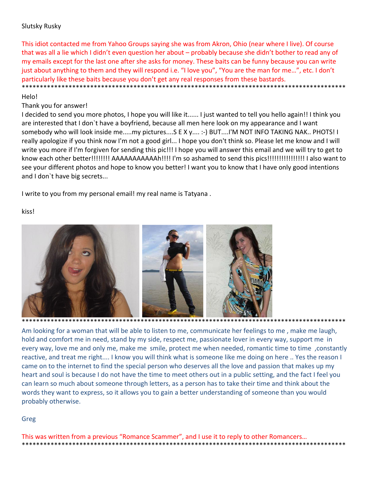# Slutsky Rusky

This idiot contacted me from Yahoo Groups saying she was from Akron, Ohio (near where I live). Of course that was all a lie which I didn't even question her about – probably because she didn't bother to read any of my emails except for the last one after she asks for money. These baits can be funny because you can write just about anything to them and they will respond i.e. "I love you", "You are the man for me…", etc. I don't particularly like these baits because you don't get any real responses from these bastards. \*\*\*\*\*\*\*\*\*\*\*\*\*\*\*\*\*\*\*\*\*\*\*\*\*\*\*\*\*\*\*\*\*\*\*\*\*\*\*\*\*\*\*\*\*\*\*\*\*\*\*\*\*\*\*\*\*\*\*\*\*\*\*\*\*\*\*\*\*\*\*\*\*\*\*\*\*\*\*\*\*\*\*\*\*\*\*\*\*\*

### Helo!

### Thank you for answer!

I decided to send you more photos, I hope you will like it...... I just wanted to tell you hello again!! I think you are interested that I don`t have a boyfriend, because all men here look on my appearance and I want somebody who will look inside me.....my pictures....S E X y.... :-) BUT....I'M NOT INFO TAKING NAK.. PHOTS! I really apologize if you think now I'm not a good girl... I hope you don't think so. Please let me know and I will write you more if I'm forgiven for sending this pic!!! I hope you will answer this email and we will try to get to know each other better!!!!!!!! AAAAAAAAAAAh!!!! I'm so ashamed to send this pics!!!!!!!!!!!!!!!! I also want to see your different photos and hope to know you better! I want you to know that I have only good intentions and I don`t have big secrets...

I write to you from my personal email! my real name is Tatyana .

kiss!



Am looking for a woman that will be able to listen to me, communicate her feelings to me , make me laugh, hold and comfort me in need, stand by my side, respect me, passionate lover in every way, support me in every way, love me and only me, make me smile, protect me when needed, romantic time to time ,constantly reactive, and treat me right.... I know you will think what is someone like me doing on here .. Yes the reason I came on to the internet to find the special person who deserves all the love and passion that makes up my heart and soul is because I do not have the time to meet others out in a public setting, and the fact I feel you can learn so much about someone through letters, as a person has to take their time and think about the words they want to express, so it allows you to gain a better understanding of someone than you would probably otherwise.

## Greg

This was written from a previous "Romance Scammer", and I use it to reply to other Romancers… \*\*\*\*\*\*\*\*\*\*\*\*\*\*\*\*\*\*\*\*\*\*\*\*\*\*\*\*\*\*\*\*\*\*\*\*\*\*\*\*\*\*\*\*\*\*\*\*\*\*\*\*\*\*\*\*\*\*\*\*\*\*\*\*\*\*\*\*\*\*\*\*\*\*\*\*\*\*\*\*\*\*\*\*\*\*\*\*\*\*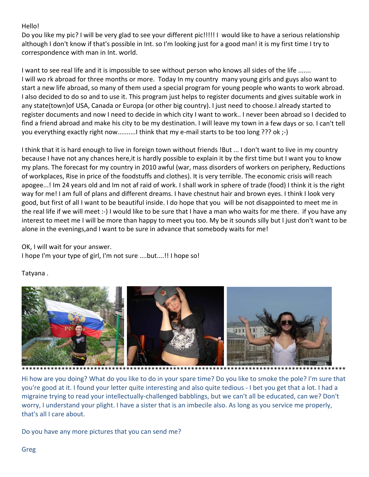# Hello!

Do you like my pic? I will be very glad to see your different pic!!!!! I would like to have a serious relationship although I don't know if that's possible in Int. so I'm looking just for a good man! it is my first time I try to correspondence with man in Int. world.

I want to see real life and it is impossible to see without person who knows all sides of the life ....... I will wo rk abroad for three months or more. Today In my country many young girls and guys also want to start a new life abroad, so many of them used a special program for young people who wants to work abroad. I also decided to do so and to use it. This program just helps to register documents and gives suitable work in any state(town)of USA, Canada or Europa (or other big country). I just need to choose.I already started to register documents and now I need to decide in which city I want to work.. I never been abroad so I decided to find a friend abroad and make his city to be my destination. I will leave my town in a few days or so. I can't tell you everything exactly right now..........I think that my e‐mail starts to be too long ??? ok ;‐)

I think that it is hard enough to live in foreign town without friends !But ... I don't want to live in my country because I have not any chances here,it is hardly possible to explain it by the first time but I want you to know my plans. The forecast for my country in 2010 awful (war, mass disorders of workers on periphery, Reductions of workplaces, Rise in price of the foodstuffs and clothes). It is very terrible. The economic crisis will reach apogee...! Im 24 years old and Im not af raid of work. I shall work in sphere of trade (food) I think it is the right way for me! I am full of plans and different dreams. I have chestnut hair and brown eyes. I think I look very good, but first of all I want to be beautiful inside. I do hope that you will be not disappointed to meet me in the real life if we will meet :‐) I would like to be sure that I have a man who waits for me there. if you have any interest to meet me I will be more than happy to meet you too. My be it sounds silly but I just don't want to be alone in the evenings,and I want to be sure in advance that somebody waits for me!

OK, I will wait for your answer. I hope I'm your type of girl, I'm not sure ....but....!! I hope so!

# Tatyana .



Hi how are you doing? What do you like to do in your spare time? Do you like to smoke the pole? I'm sure that you're good at it. I found your letter quite interesting and also quite tedious ‐ I bet you get that a lot. I had a migraine trying to read your intellectually‐challenged babblings, but we can't all be educated, can we? Don't worry, I understand your plight. I have a sister that is an imbecile also. As long as you service me properly, that's all I care about.

Do you have any more pictures that you can send me?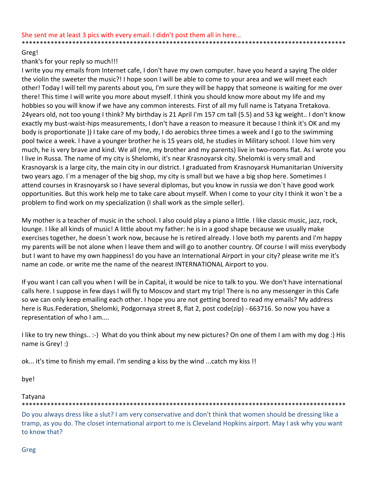### Greg!

## thank's for your reply so much!!!

I write you my emails from Internet cafe, I don't have my own computer. have you heard a saying The older the violin the sweeter the music?! I hope soon I will be able to come to your area and we will meet each other! Today I will tell my parents about you, I'm sure they will be happy that someone is waiting for me over there! This time I will write you more about myself. I think you should know more about my life and my hobbies so you will know if we have any common interests. First of all my full name is Tatyana Tretakova. 24years old, not too young I think? My birthday is 21 April I'm 157 cm tall (5.5) and 53 kg weight.. I don't know exactly my bust-waist-hips measurements, I don't have a reason to measure it because I think it's OK and my body is proportionate )) I take care of my body, I do aerobics three times a week and I go to the swimming pool twice a week. I have a younger brother he is 15 years old, he studies in Military school. I love him very much, he is very brave and kind. We all (me, my brother and my parents) live in two‐rooms flat. As I wrote you I live in Russa. The name of my city is Shelomki, it's near Krasnoyarsk city. Shelomki is very small and Krasnoyarsk is a large city, the main city in our district. I graduated from Krasnoyarsk Humanitarian University two years ago. I`m a menager of the big shop, my city is small but we have a big shop here. Sometimes I attend courses in Krasnoyarsk so I have several diplomas, but you know in russia we don`t have good work opportunities. But this work help me to take care about myself. When I come to your city I think it won`t be a problem to find work on my specialization (I shall work as the simple seller).

My mother is a teacher of music in the school. I also could play a piano a little. I like classic music, jazz, rock, lounge. I like all kinds of music! A little about my father: he is in a good shape because we usually make exercises together, he doesn`t work now, because he is retired already. I love both my parents and I'm happy my parents will be not alone when I leave them and will go to another country. Of course I will miss everybody but I want to have my own happiness! do you have an International Airport in your city? please write me it's name an code. or write me the name of the nearest INTERNATIONAL Airport to you.

If you want I can call you when I will be in Capital, it would be nice to talk to you. We don't have international calls here. I suppose in few days I will fly to Moscov and start my trip! There is no any messenger in this Cafe so we can only keep emailing each other. I hope you are not getting bored to read my emails? My address here is Rus.Federation, Shelomki, Podgornaya street 8, flat 2, post code(zip) ‐ 663716. So now you have a representation of who I am....

I like to try new things.. :‐) What do you think about my new pictures? On one of them I am with my dog :) His name is Grey! :)

ok... it's time to finish my email. I'm sending a kiss by the wind ...catch my kiss !!

bye!

#### Tatyana \*\*\*\*\*\*\*\*\*\*\*\*\*\*\*\*\*\*\*\*\*\*\*\*\*\*\*\*\*\*\*\*\*\*\*\*\*\*\*\*\*\*\*\*\*\*\*\*\*\*\*\*\*\*\*\*\*\*\*\*\*\*\*\*\*\*\*\*\*\*\*\*\*\*\*\*\*\*\*\*\*\*\*\*\*\*\*\*\*\*

Do you always dress like a slut? I am very conservative and don't think that women should be dressing like a tramp, as you do. The closet international airport to me is Cleveland Hopkins airport. May I ask why you want to know that?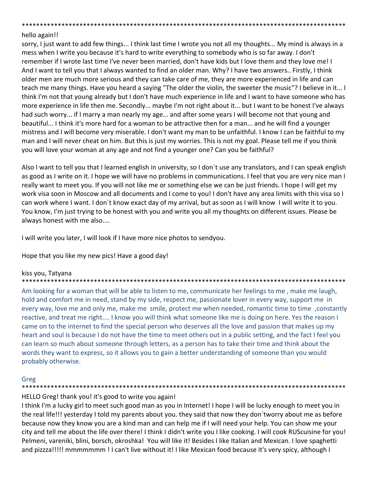### \*\*\*\*\*\*\*\*\*\*\*\*\*\*\*\*\*\*\*\*\*\*\*\*\*\*\*\*\*\*\*\*\*\*\*\*\*\*\*\*\*\*\*\*\*\*\*\*\*\*\*\*\*\*\*\*\*\*\*\*\*\*\*\*\*\*\*\*\*\*\*\*\*\*\*\*\*\*\*\*\*\*\*\*\*\*\*\*\*\* hello again!!

sorry, I just want to add few things... I think last time I wrote you not all my thoughts... My mind is always in a mess when I write you because it's hard to write everything to somebody who is so far away. I don't remember if I wrote last time I've never been married, don't have kids but I love them and they love me! I And I want to tell you that I always wanted to find an older man. Why? I have two answers.. Firstly, I think older men are much more serious and they can take care of me, they are more experienced in life and can teach me many things. Have you heard a saying "The older the violin, the sweeter the music"? I believe in it... I think I'm not that young already but I don't have much experience in life and I want to have someone who has more experience in life then me. Secondly... maybe I'm not right about it... but I want to be honest I've always had such worry... if I marry a man nearly my age... and after some years I will become not that young and beautiful... I think it's more hard for a woman to be attractive then for a man... and he will find a younger mistress and I will become very miserable. I don't want my man to be unfaithful. I know I can be faithful to my man and I will never cheat on him. But this is just my worries. This is not my goal. Please tell me if you think you will love your woman at any age and not find a younger one? Can you be faithful?

Also I want to tell you that I learned english in university, so I don`t use any translators, and I can speak english as good as I write on it. I hope we will have no problems in communications. I feel that you are very nice man I really want to meet you. If you will not like me or something else we can be just friends. I hope I will get my work visa soon in Moscow and all documents and I come to you! I don't have any area limits with this visa so I can work where I want. I don`t know exact day of my arrival, but as soon as I will know I will write it to you. You know, I'm just trying to be honest with you and write you all my thoughts on different issues. Please be always honest with me also....

I will write you later, I will look if I have more nice photos to sendyou.

Hope that you like my new pics! Have a good day!

# kiss you, Tatyana

## \*\*\*\*\*\*\*\*\*\*\*\*\*\*\*\*\*\*\*\*\*\*\*\*\*\*\*\*\*\*\*\*\*\*\*\*\*\*\*\*\*\*\*\*\*\*\*\*\*\*\*\*\*\*\*\*\*\*\*\*\*\*\*\*\*\*\*\*\*\*\*\*\*\*\*\*\*\*\*\*\*\*\*\*\*\*\*\*\*\*

Am looking for a woman that will be able to listen to me, communicate her feelings to me , make me laugh, hold and comfort me in need, stand by my side, respect me, passionate lover in every way, support me in every way, love me and only me, make me smile, protect me when needed, romantic time to time ,constantly reactive, and treat me right.... I know you will think what someone like me is doing on here. Yes the reason I came on to the internet to find the special person who deserves all the love and passion that makes up my heart and soul is because I do not have the time to meet others out in a public setting, and the fact I feel you can learn so much about someone through letters, as a person has to take their time and think about the words they want to express, so it allows you to gain a better understanding of someone than you would probably otherwise.

### Greg \*\*\*\*\*\*\*\*\*\*\*\*\*\*\*\*\*\*\*\*\*\*\*\*\*\*\*\*\*\*\*\*\*\*\*\*\*\*\*\*\*\*\*\*\*\*\*\*\*\*\*\*\*\*\*\*\*\*\*\*\*\*\*\*\*\*\*\*\*\*\*\*\*\*\*\*\*\*\*\*\*\*\*\*\*\*\*\*\*\*

# HELLO Greg! thank you! it's good to write you again!

I think I'm a lucky girl to meet such good man as you in Internet! I hope I will be lucky enough to meet you in the real life!!! yesterday I told my parents about you. they said that now they don`tworry about me as before because now they know you are a kind man and can help me if I will need your help. You can show me your city and tell me about the life over there! I think I didn't write you I like cooking. I will cook RUScuisine for you! Pelmeni, vareniki, blini, borsch, okroshka! You will like it! Besides I like Italian and Mexican. I love spaghetti and pizzza!!!!! mmmmmmm ! I can't live without it! I like Mexican food because it's very spicy, although I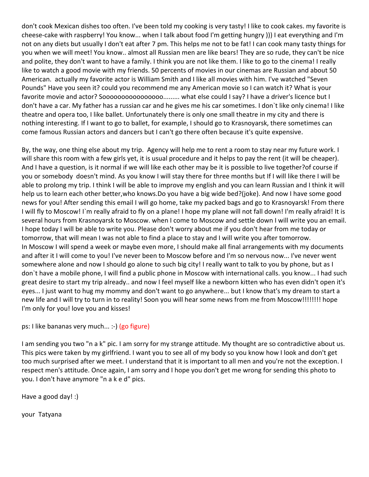don't cook Mexican dishes too often. I've been told my cooking is very tasty! I like to cook cakes. my favorite is cheese‐cake with raspberry! You know... when I talk about food I'm getting hungry ))) I eat everything and I'm not on any diets but usually I don't eat after 7 pm. This helps me not to be fat! I can cook many tasty things for you when we will meet! You know.. almost all Russian men are like bears! They are so rude, they can't be nice and polite, they don't want to have a family. I think you are not like them. I like to go to the cinema! I really like to watch a good movie with my friends. 50 percents of movies in our cinemas are Russian and about 50 American. actually my favorite actor is William Smith and I like all movies with him. I've watched "Seven Pounds" Have you seen it? could you recommend me any American movie so I can watch it? What is your favorite movie and actor? Soooooooooooooooo......... what else could I say? I have a driver's licence but I don't have a car. My father has a russian car and he gives me his car sometimes. I don`t like only cinema! I like theatre and opera too, I like ballet. Unfortunately there is only one small theatre in my city and there is nothing interesting. If I want to go to ballet, for example, I should go to Krasnoyarsk, there sometimes can come famous Russian actors and dancers but I can't go there often because it's quite expensive.

By, the way, one thing else about my trip. Agency will help me to rent a room to stay near my future work. I will share this room with a few girls yet, it is usual procedure and it helps to pay the rent (it will be cheaper). And I have a question, is it normal if we will like each other may be it is possible to live together?of course if you or somebody doesn't mind. As you know I will stay there for three months but If I will like there I will be able to prolong my trip. I think I will be able to improve my english and you can learn Russian and I think it will help us to learn each other better,who knows.Do you have a big wide bed?(joke). And now I have some good news for you! After sending this email I will go home, take my packed bags and go to Krasnoyarsk! From there I will fly to Moscow! I`m really afraid to fly on a plane! I hope my plane will not fall down! I'm really afraid! It is several hours from Krasnoyarsk to Moscow. when I come to Moscow and settle down I will write you an email. I hope today I will be able to write you. Please don't worry about me if you don't hear from me today or tomorrow, that will mean I was not able to find a place to stay and I will write you after tomorrow. In Moscow I will spend a week or maybe even more, I should make all final arrangements with my documents and after it I will come to you! I've never been to Moscow before and I'm so nervous now... I've never went somewhere alone and now I should go alone to such big city! I really want to talk to you by phone, but as I don`t have a mobile phone, I will find a public phone in Moscow with international calls. you know... I had such great desire to start my trip already.. and now I feel myself like a newborn kitten who has even didn't open it's eyes... I just want to hug my mommy and don't want to go anywhere... but I know that's my dream to start a new life and I will try to turn in to reality! Soon you will hear some news from me from Moscow!!!!!!!! hope I'm only for you! love you and kisses!

ps: I like bananas very much... :‐) (go figure)

I am sending you two "n a k" pic. I am sorry for my strange attitude. My thought are so contradictive about us. This pics were taken by my girlfriend. I want you to see all of my body so you know how I look and don't get too much surprised after we meet. I understand that it is important to all men and you're not the exception. I respect men's attitude. Once again, I am sorry and I hope you don't get me wrong for sending this photo to you. I don't have anymore "n a k e d" pics.

Have a good day! :)

your Tatyana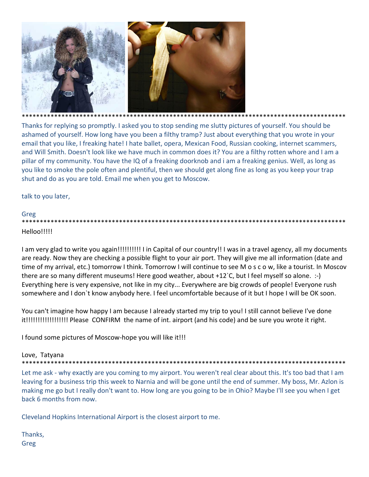

Thanks for replying so promptly. I asked you to stop sending me slutty pictures of yourself. You should be ashamed of yourself. How long have you been a filthy tramp? Just about everything that you wrote in your email that you like, I freaking hate! I hate ballet, opera, Mexican Food, Russian cooking, internet scammers, and Will Smith. Doesn't look like we have much in common does it? You are a filthy rotten whore and I am a pillar of my community. You have the IQ of a freaking doorknob and i am a freaking genius. Well, as long as you like to smoke the pole often and plentiful, then we should get along fine as long as you keep your trap shut and do as you are told. Email me when you get to Moscow.

talk to you later,

# Greg

Helloo!!!!!

I am very glad to write you again!!!!!!!!!!!!! I in Capital of our country!! I was in a travel agency, all my documents are ready. Now they are checking a possible flight to your air port. They will give me all information (date and time of my arrival, etc.) tomorrow I think. Tomorrow I will continue to see M o s c o w, like a tourist. In Moscov there are so many different museums! Here good weather, about +12`C, but I feel myself so alone. :-) Everything here is very expensive, not like in my city... Everywhere are big crowds of people! Everyone rush somewhere and I don't know anybody here. I feel uncomfortable because of it but I hope I will be OK soon.

You can't imagine how happy I am because I already started my trip to you! I still cannot believe I've done it!!!!!!!!!!!!!!!!!!!!! Please CONFIRM the name of int. airport (and his code) and be sure you wrote it right.

I found some pictures of Moscow-hope you will like it!!!

# Love, Tatyana

Let me ask - why exactly are you coming to my airport. You weren't real clear about this. It's too bad that I am leaving for a business trip this week to Narnia and will be gone until the end of summer. My boss, Mr. Azlon is making me go but I really don't want to. How long are you going to be in Ohio? Maybe I'll see you when I get back 6 months from now.

Cleveland Hopkins International Airport is the closest airport to me.

Thanks, Greg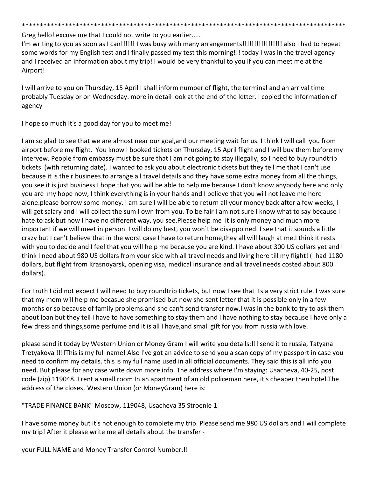\*\*\*\*\*\*\*\*\*\*\*\*\*\*\*\*\*\*\*\*\*\*\*\*\*\*\*\*\*\*\*\*\*\*\*\*\*\*\*\*\*\*\*\*\*\*\*\*\*\*\*\*\*\*\*\*\*\*\*\*\*\*\*\*\*\*\*\*\*\*\*\*\*\*\*\*\*\*\*\*\*\*\*\*\*\*\*\*\*\*

Greg hello! excuse me that I could not write to you earlier.....

I'm writing to you as soon as I can!!!!!! I was busy with many arrangements!!!!!!!!!!!!!!!!! also I had to repeat some words for my English test and I finally passed my test this morning!!! today I was in the travel agency and I received an information about my trip! I would be very thankful to you if you can meet me at the Airport!

I will arrive to you on Thursday, 15 April I shall inform number of flight, the terminal and an arrival time probably Tuesday or on Wednesday. more in detail look at the end of the letter. I copied the information of agency

I hope so much it's a good day for you to meet me!

I am so glad to see that we are almost near our goal,and our meeting wait for us. I think I will call you from airport before my flight. You know I booked tickets on Thursday, 15 April flight and I will buy them before my intervew. People from embassy must be sure that I am not going to stay illegally, so I need to buy roundtrip tickets (with returning date). I wanted to ask you about electronic tickets but they tell me that I can't use because it is their businees to arrange all travel details and they have some extra money from all the things, you see it is just business.I hope that you will be able to help me because I don't know anybody here and only you are my hope now, I think everything is in your hands and I believe that you will not leave me here alone.please borrow some money. I am sure I will be able to return all your money back after a few weeks, I will get salary and I will collect the sum I own from you. To be fair I am not sure I know what to say because I hate to ask but now I have no different way, you see.Please help me it is only money and much more important if we will meet in person I will do my best, you won`t be disappoined. I see that it sounds a little crazy but I can't believe that in the worst case I have to return home,they all will laugh at me.I think it rests with you to decide and I feel that you will help me because you are kind. I have about 300 US dollars yet and I think I need about 980 US dollars from your side with all travel needs and living here till my flight! (I had 1180 dollars, but flight from Krasnoyarsk, opening visa, medical insurance and all travel needs costed about 800 dollars).

For truth I did not expect I will need to buy roundtrip tickets, but now I see that its a very strict rule. I was sure that my mom will help me becasue she promised but now she sent letter that it is possible only in a few months or so because of family problems.and she can't send transfer now.I was in the bank to try to ask them about loan but they tell I have to have something to stay them and I have nothing to stay because I have only a few dress and things,some perfume and it is all I have,and small gift for you from russia with love.

please send it today by Western Union or Money Gram I will write you details:!!! send it to russia, Tatyana Tretyakova !!!!This is my full name! Also I've got an advice to send you a scan copy of my passport in case you need to confirm my details. this is my full name used in all official documents. They said this is all info you need. But please for any case write down more info. The address where I'm staying: Usacheva, 40‐25, post code (zip) 119048. I rent a small room In an apartment of an old policeman here, it's cheaper then hotel.The address of the closest Western Union (or MoneyGram) here is:

"TRADE FINANCE BANK" Moscow, 119048, Usacheva 35 Stroenie 1

I have some money but it's not enough to complete my trip. Please send me 980 US dollars and I will complete my trip! After it please write me all details about the transfer ‐

your FULL NAME and Money Transfer Control Number.!!